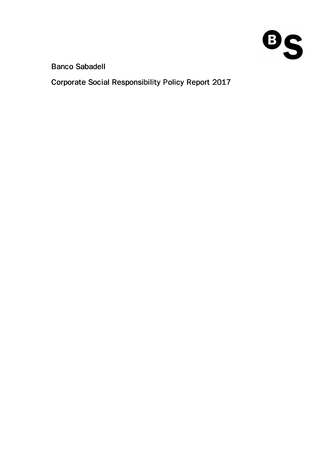

# Banco Sabadell

Corporate Social Responsibility Policy Report 2017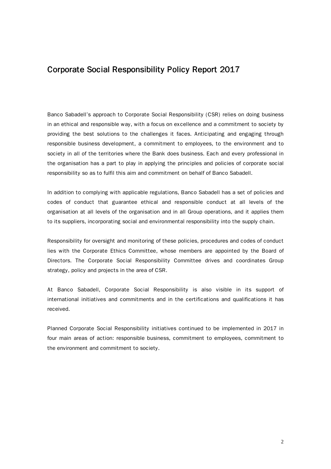## Corporate Social Responsibility Policy Report 2017

Banco Sabadell's approach to Corporate Social Responsibility (CSR) relies on doing business in an ethical and responsible way, with a focus on excellence and a commitment to society by providing the best solutions to the challenges it faces. Anticipating and engaging through responsible business development, a commitment to employees, to the environment and to society in all of the territories where the Bank does business. Each and every professional in the organisation has a part to play in applying the principles and policies of corporate social responsibility so as to fulfil this aim and commitment on behalf of Banco Sabadell.

In addition to complying with applicable regulations, Banco Sabadell has a set of policies and codes of conduct that guarantee ethical and responsible conduct at all levels of the organisation at all levels of the organisation and in all Group operations, and it applies them to its suppliers, incorporating social and environmental responsibility into the supply chain.

Responsibility for oversight and monitoring of these policies, procedures and codes of conduct lies with the Corporate Ethics Committee, whose members are appointed by the Board of Directors. The Corporate Social Responsibility Committee drives and coordinates Group strategy, policy and projects in the area of CSR.

At Banco Sabadell, Corporate Social Responsibility is also visible in its support of international initiatives and commitments and in the certifications and qualifications it has received.

Planned Corporate Social Responsibility initiatives continued to be implemented in 2017 in four main areas of action: responsible business, commitment to employees, commitment to the environment and commitment to society.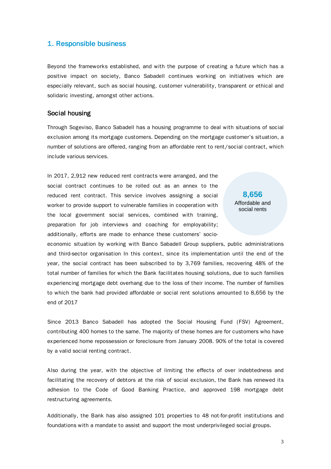## 1. Responsible business

Beyond the frameworks established, and with the purpose of creating a future which has a positive impact on society, Banco Sabadell continues working on initiatives which are especially relevant, such as social housing, customer vulnerability, transparent or ethical and solidaric investing, amongst other actions.

## Social housing

Through Sogeviso, Banco Sabadell has a housing programme to deal with situations of social exclusion among its mortgage customers. Depending on the mortgage customer's situation, a number of solutions are offered, ranging from an affordable rent to rent/social contract, which include various services.

In 2017, 2,912 new reduced rent contracts were arranged, and the social contract continues to be rolled out as an annex to the reduced rent contract. This service involves assigning a social worker to provide support to vulnerable families in cooperation with the local government social services, combined with training, preparation for job interviews and coaching for employability; additionally, efforts are made to enhance these customers' socio-

**8,656** Affordable and social rents

economic situation by working with Banco Sabadell Group suppliers, public administrations and third-sector organisation In this context, since its implementation until the end of the year, the social contract has been subscribed to by 3,769 families, recovering 48% of the total number of families for which the Bank facilitates housing solutions, due to such families experiencing mortgage debt overhang due to the loss of their income. The number of families to which the bank had provided affordable or social rent solutions amounted to 8,656 by the end of 2017

Since 2013 Banco Sabadell has adopted the Social Housing Fund (FSV) Agreement, contributing 400 homes to the same. The majority of these homes are for customers who have experienced home repossession or foreclosure from January 2008. 90% of the total is covered by a valid social renting contract.

Also during the year, with the objective of limiting the effects of over indebtedness and facilitating the recovery of debtors at the risk of social exclusion, the Bank has renewed its adhesion to the Code of Good Banking Practice, and approved 198 mortgage debt restructuring agreements.

Additionally, the Bank has also assigned 101 properties to 48 not-for-profit institutions and foundations with a mandate to assist and support the most underprivileged social groups.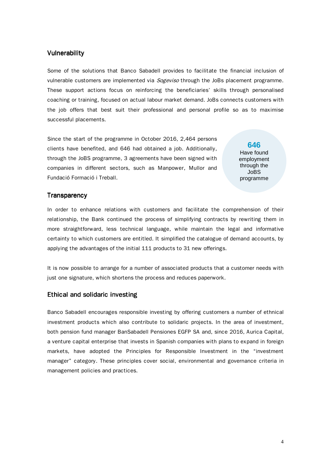## **Vulnerability**

Some of the solutions that Banco Sabadell provides to facilitate the financial inclusion of vulnerable customers are implemented via *Sogeviso* through the JoBs placement programme. These support actions focus on reinforcing the beneficiaries' skills through personalised coaching or training, focused on actual labour market demand. JoBs connects customers with the job offers that best suit their professional and personal profile so as to maximise successful placements.

Since the start of the programme in October 2016, 2,464 persons clients have benefited, and 646 had obtained a job. Additionally, through the JoBS programme, 3 agreements have been signed with companies in different sectors, such as Manpower, Mullor and Fundació Formació i Treball.

**646** Have found employment through the JoBS programme

#### **Transparency**

In order to enhance relations with customers and facilitate the comprehension of their relationship, the Bank continued the process of simplifying contracts by rewriting them in more straightforward, less technical language, while maintain the legal and informative certainty to which customers are entitled. It simplified the catalogue of demand accounts, by applying the advantages of the initial 111 products to 31 new offerings.

It is now possible to arrange for a number of associated products that a customer needs with just one signature, which shortens the process and reduces paperwork.

#### Ethical and solidaric investing

Banco Sabadell encourages responsible investing by offering customers a number of ethnical investment products which also contribute to solidaric projects. In the area of investment, both pension fund manager BanSabadell Pensiones EGFP SA and, since 2016, Aurica Capital, a venture capital enterprise that invests in Spanish companies with plans to expand in foreign markets, have adopted the Principles for Responsible Investment in the "investment manager" category. These principles cover social, environmental and governance criteria in management policies and practices.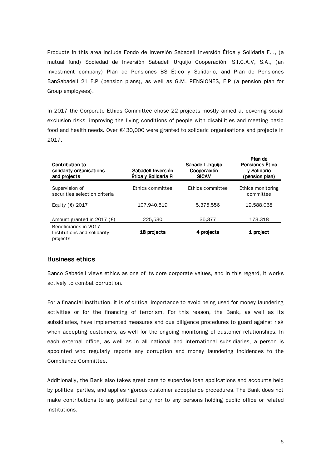Products in this area include Fondo de Inversión Sabadell Inversión Ética y Solidaria F.I., (a mutual fund) Sociedad de Inversión Sabadell Urquijo Cooperación, S.I.C.A.V, S.A., (an investment company) Plan de Pensiones BS Ético y Solidario, and Plan de Pensiones BanSabadell 21 F.P (pension plans), as well as G.M. PENSIONES, F.P (a pension plan for Group employees).

In 2017 the Corporate Ethics Committee chose 22 projects mostly aimed at covering social exclusion risks, improving the living conditions of people with disabilities and meeting basic food and health needs. Over €430,000 were granted to solidaric organisations and projects in 2017.

| <b>Contribution to</b><br>solidarity organisations<br>and projects | Sabadell Inversión<br>Ética y Solidaria Fl | Sabadell Urquijo<br>Cooperación<br><b>SICAV</b> | Plan de<br><b>Pensiones Ético</b><br>y Solidario<br>(pension plan) |
|--------------------------------------------------------------------|--------------------------------------------|-------------------------------------------------|--------------------------------------------------------------------|
| Supervision of<br>securities selection criteria                    | Ethics committee                           | Ethics committee                                | Ethics monitoring<br>committee                                     |
| Equity $(\epsilon)$ 2017                                           | 107.940.519                                | 5.375.556                                       | 19,588,068                                                         |
| Amount granted in 2017 ( $\epsilon$ )                              | 225.530                                    | 35,377                                          | 173.318                                                            |
| Beneficiaries in 2017:<br>Institutions and solidarity<br>projects  | 18 projects                                | 4 projects                                      | 1 project                                                          |

#### **Business ethics**

Banco Sabadell views ethics as one of its core corporate values, and in this regard, it works actively to combat corruption.

For a financial institution, it is of critical importance to avoid being used for money laundering activities or for the financing of terrorism. For this reason, the Bank, as well as its subsidiaries, have implemented measures and due diligence procedures to guard against risk when accepting customers, as well for the ongoing monitoring of customer relationships. In each external office, as well as in all national and international subsidiaries, a person is appointed who regularly reports any corruption and money laundering incidences to the Compliance Committee.

Additionally, the Bank also takes great care to supervise loan applications and accounts held by political parties, and applies rigorous customer acceptance procedures. The Bank does not make contributions to any political party nor to any persons holding public office or related institutions.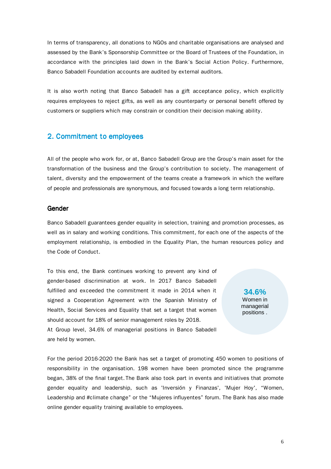In terms of transparency, all donations to NGOs and charitable organisations are analysed and assessed by the Bank's Sponsorship Committee or the Board of Trustees of the Foundation, in accordance with the principles laid down in the Bank's Social Action Policy. Furthermore, Banco Sabadell Foundation accounts are audited by external auditors.

It is also worth noting that Banco Sabadell has a gift acceptance policy, which explicitly requires employees to reject gifts, as well as any counterparty or personal benefit offered by customers or suppliers which may constrain or condition their decision making ability.

## 2. Commitment to employees

All of the people who work for, or at, Banco Sabadell Group are the Group's main asset for the transformation of the business and the Group's contribution to society. The management of talent, diversity and the empowerment of the teams create a framework in which the welfare of people and professionals are synonymous, and focused towards a long term relationship.

#### Gender

Banco Sabadell guarantees gender equality in selection, training and promotion processes, as well as in salary and working conditions. This commitment, for each one of the aspects of the employment relationship, is embodied in the Equality Plan, the human resources policy and the Code of Conduct.

To this end, the Bank continues working to prevent any kind of gender-based discrimination at work. In 2017 Banco Sabadell fulfilled and exceeded the commitment it made in 2014 when it signed a Cooperation Agreement with the Spanish Ministry of Health, Social Services and Equality that set a target that women should account for 18% of senior management roles by 2018. At Group level, 34.6% of managerial positions in Banco Sabadell are held by women.

**34.6%** Women in managerial positions .

For the period 2016-2020 the Bank has set a target of promoting 450 women to positions of responsibility in the organisation. 198 women have been promoted since the programme began, 38% of the final target. The Bank also took part in events and initiatives that promote gender equality and leadership, such as 'Inversión y Finanzas', 'Mujer Hoy', "Women, Leadership and #climate change" or the "Mujeres influyentes" forum. The Bank has also made online gender equality training available to employees.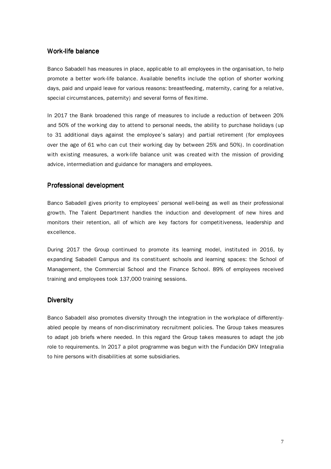#### Work-life balance

Banco Sabadell has measures in place, applicable to all employees in the organisation, to help promote a better work-life balance. Available benefits include the option of shorter working days, paid and unpaid leave for various reasons: breastfeeding, maternity, caring for a relative, special circumstances, paternity) and several forms of flexitime.

In 2017 the Bank broadened this range of measures to include a reduction of between 20% and 50% of the working day to attend to personal needs, the ability to purchase holidays (up to 31 additional days against the employee's salary) and partial retirement (for employees over the age of 61 who can cut their working day by between 25% and 50%). In coordination with existing measures, a work-life balance unit was created with the mission of providing advice, intermediation and guidance for managers and employees.

## Professional development

Banco Sabadell gives priority to employees' personal well-being as well as their professional growth. The Talent Department handles the induction and development of new hires and monitors their retention, all of which are key factors for competitiveness, leadership and excellence.

During 2017 the Group continued to promote its learning model, instituted in 2016, by expanding Sabadell Campus and its constituent schools and learning spaces: the School of Management, the Commercial School and the Finance School. 89% of employees received training and employees took 137,000 training sessions.

#### **Diversity**

Banco Sabadell also promotes diversity through the integration in the workplace of differentlyabled people by means of non-discriminatory recruitment policies. The Group takes measures to adapt job briefs where needed. In this regard the Group takes measures to adapt the job role to requirements. In 2017 a pilot programme was begun with the Fundación DKV Integralia to hire persons with disabilities at some subsidiaries.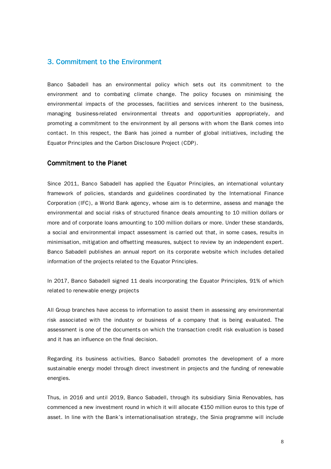## 3. Commitment to the Environment

Banco Sabadell has an environmental policy which sets out its commitment to the environment and to combating climate change. The policy focuses on minimising the environmental impacts of the processes, facilities and services inherent to the business, managing business-related environmental threats and opportunities appropriately, and promoting a commitment to the environment by all persons with whom the Bank comes into contact. In this respect, the Bank has joined a number of global initiatives, including the Equator Principles and the Carbon Disclosure Project (CDP).

## Commitment to the Planet

Since 2011, Banco Sabadell has applied the Equator Principles, an international voluntary framework of policies, standards and guidelines coordinated by the International Finance Corporation (IFC), a World Bank agency, whose aim is to determine, assess and manage the environmental and social risks of structured finance deals amounting to 10 million dollars or more and of corporate loans amounting to 100 million dollars or more. Under these standards, a social and environmental impact assessment is carried out that, in some cases, results in minimisation, mitigation and offsetting measures, subject to review by an independent expert. Banco Sabadell publishes an annual report on its corporate website which includes detailed information of the projects related to the Equator Principles.

In 2017, Banco Sabadell signed 11 deals incorporating the Equator Principles, 91% of which related to renewable energy projects

All Group branches have access to information to assist them in assessing any environmental risk associated with the industry or business of a company that is being evaluated. The assessment is one of the documents on which the transaction credit risk evaluation is based and it has an influence on the final decision.

Regarding its business activities, Banco Sabadell promotes the development of a more sustainable energy model through direct investment in projects and the funding of renewable energies.

Thus, in 2016 and until 2019, Banco Sabadell, through its subsidiary Sinia Renovables, has commenced a new investment round in which it will allocate €150 million euros to this type of asset. In line with the Bank's internationalisation strategy, the Sinia programme will include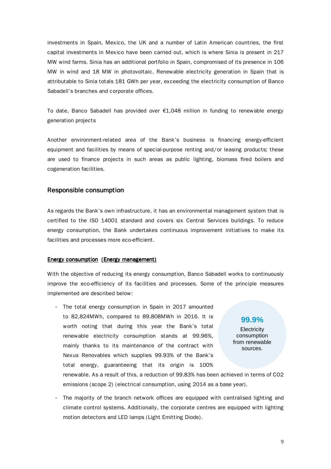investments in Spain, Mexico, the UK and a number of Latin American countries, the first capital investments in Mexico have been carried out, which is where Sinia is present in 217 MW wind farms. Sinia has an additional portfolio in Spain, compromised of its presence in 106 MW in wind and 18 MW in photovoltaic. Renewable electricity generation in Spain that is attributable to Sinia totals 181 GWh per year, exceeding the electricity consumption of Banco Sabadell's branches and corporate offices.

To date, Banco Sabadell has provided over €1,048 million in funding to renewable energy generation projects

Another environment-related area of the Bank's business is financing energy-efficient equipment and facilities by means of special-purpose renting and/or leasing products; these are used to finance projects in such areas as public lighting, biomass fired boilers and cogeneration facilities.

#### **Responsible consumption**

As regards the Bank's own infrastructure, it has an environmental management system that is certified to the ISO 14001 standard and covers six Central Services buildings. To reduce energy consumption, the Bank undertakes continuous improvement initiatives to make its facilities and processes more eco-efficient.

#### Energy consumption (Energy management)

With the objective of reducing its energy consumption, Banco Sabadell works to continuously improve the eco-efficiency of its facilities and processes. Some of the principle measures implemented are described below:

- The total energy consumption in Spain in 2017 amounted to 82,824MWh, compared to 89,808MWh in 2016. It is worth noting that during this year the Bank's total renewable electricity consumption stands at 99.96%, mainly thanks to its maintenance of the contract with Nexus Renovables which supplies 99.93% of the Bank's total energy, guaranteeing that its origin is 100%

**99.9%**

**Electricity** consumption from renewable sources.

renewable. As a result of this, a reduction of 99.83% has been achieved in terms of CO2 emissions (scope 2) (electrical consumption, using 2014 as a base year).

- The majority of the branch network offices are equipped with centralised lighting and climate control systems. Additionally, the corporate centres are equipped with lighting motion detectors and LED lamps (Light Emitting Diode).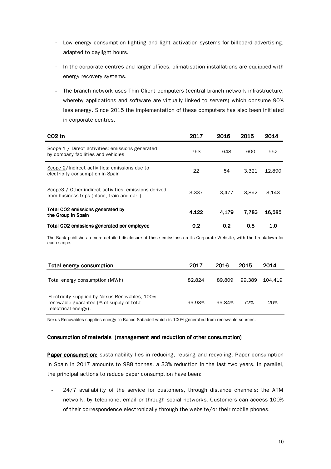- Low energy consumption lighting and light activation systems for billboard advertising, adapted to daylight hours.
- In the corporate centres and larger offices, climatisation installations are equipped with energy recovery systems.
- The branch network uses Thin Client computers (central branch network infrastructure, whereby applications and software are virtually linked to servers) which consume 90% less energy. Since 2015 the implementation of these computers has also been initiated in corporate centres.

| CO <sub>2</sub> tn                                                                                   | 2017  | 2016             | 2015  | 2014   |
|------------------------------------------------------------------------------------------------------|-------|------------------|-------|--------|
| Scope 1 / Direct activities: emissions generated<br>by company facilities and vehicles               | 763   | 648              | 600   | 552    |
| Scope 2/Indirect activities: emissions due to<br>electricity consumption in Spain                    | 22    | 54               | 3.321 | 12.890 |
| Scope 3 / Other indirect activities: emissions derived<br>from business trips (plane, train and car) | 3.337 | 3.477            | 3.862 | 3.143  |
| Total CO2 emissions generated by<br>the Group in Spain                                               | 4.122 | 4.179            | 7.783 | 16.585 |
| Total CO2 emissions generated per employee                                                           | 0.2   | 0.2 <sub>2</sub> | 0.5   | 1.0    |

 The Bank publishes a more detailed disclosure of these emissions on its Corporate Website, with the breakdown for each scope.

| Total energy consumption                                                                                           | 2017   | 2016   | 2015   | 2014    |
|--------------------------------------------------------------------------------------------------------------------|--------|--------|--------|---------|
| Total energy consumption (MWh)                                                                                     | 82.824 | 89.809 | 99.389 | 104.419 |
| Electricity supplied by Nexus Renovables, 100%<br>renewable guarantee (% of supply of total<br>electrical energy). | 99.93% | 99.84% | 72%    | 26%     |

Nexus Renovables supplies energy to Banco Sabadell which is 100% generated from renewable sources.

#### Consumption of materials (management and reduction of other consumption)

Paper consumption: sustainability lies in reducing, reusing and recycling. Paper consumption in Spain in 2017 amounts to 988 tonnes, a 33% reduction in the last two years. In parallel, the principal actions to reduce paper consumption have been:

- 24/7 availability of the service for customers, through distance channels: the ATM network, by telephone, email or through social networks. Customers can access 100% of their correspondence electronically through the website/or their mobile phones.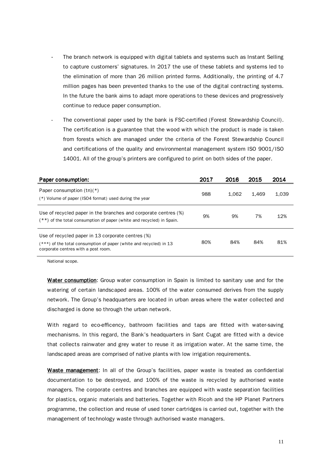- The branch network is equipped with digital tablets and systems such as Instant Selling to capture customers' signatures. In 2017 the use of these tablets and systems led to the elimination of more than 26 million printed forms. Additionally, the printing of 4.7 million pages has been prevented thanks to the use of the digital contracting systems. In the future the bank aims to adapt more operations to these devices and progressively continue to reduce paper consumption.
- The conventional paper used by the bank is FSC-certified (Forest Stewardship Council). The certification is a guarantee that the wood with which the product is made is taken from forests which are managed under the criteria of the Forest Stewardship Council and certifications of the quality and environmental management system ISO 9001/ISO 14001. All of the group's printers are configured to print on both sides of the paper.

| Paper consumption:                                                                                                                                               | 2017 | 2016  | 2015  | 2014  |
|------------------------------------------------------------------------------------------------------------------------------------------------------------------|------|-------|-------|-------|
| Paper consumption $(tn)(*)$<br>(*) Volume of paper (ISO4 format) used during the year                                                                            | 988  | 1.062 | 1.469 | 1,039 |
| Use of recycled paper in the branches and corporate centres (%)<br>$(**)$ of the total consumption of paper (white and recycled) in Spain.                       | 9%   | 9%    | 7%    | 12%   |
| Use of recycled paper in 13 corporate centres (%)<br>$(***)$ of the total consumption of paper (white and recycled) in 13<br>corporate centres with a post room. | 80%  | 84%   | 84%   | 81%   |

National scope.

Water consumption: Group water consumption in Spain is limited to sanitary use and for the watering of certain landscaped areas. 100% of the water consumed derives from the supply network. The Group's headquarters are located in urban areas where the water collected and discharged is done so through the urban network.

With regard to eco-efficency, bathroom facilities and taps are fitted with water-saving mechanisms. In this regard, the Bank's headquarters in Sant Cugat are fitted with a device that collects rainwater and grey water to reuse it as irrigation water. At the same time, the landscaped areas are comprised of native plants with low irrigation requirements.

Waste management: In all of the Group's facilities, paper waste is treated as confidential documentation to be destroyed, and 100% of the waste is recycled by authorised waste managers. The corporate centres and branches are equipped with waste separation facilities for plastics, organic materials and batteries. Together with Ricoh and the HP Planet Partners programme, the collection and reuse of used toner cartridges is carried out, together with the management of technology waste through authorised waste managers.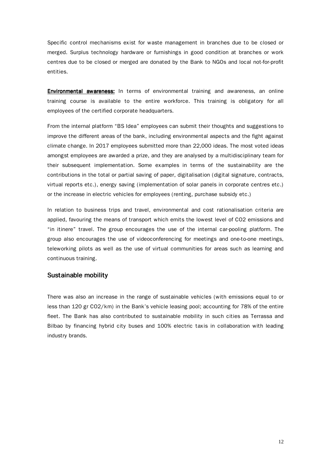Specific control mechanisms exist for waste management in branches due to be closed or merged. Surplus technology hardware or furnishings in good condition at branches or work centres due to be closed or merged are donated by the Bank to NGOs and local not-for-profit entities.

Environmental awareness: In terms of environmental training and awareness, an online training course is available to the entire workforce. This training is obligatory for all employees of the certified corporate headquarters.

From the internal platform "BS Idea" employees can submit their thoughts and suggestions to improve the different areas of the bank, including environmental aspects and the fight against climate change. In 2017 employees submitted more than 22,000 ideas. The most voted ideas amongst employees are awarded a prize, and they are analysed by a multidisciplinary team for their subsequent implementation. Some examples in terms of the sustainability are the contributions in the total or partial saving of paper, digitalisation (digital signature, contracts, virtual reports etc.), energy saving (implementation of solar panels in corporate centres etc.) or the increase in electric vehicles for employees (renting, purchase subsidy etc.)

In relation to business trips and travel, environmental and cost rationalisation criteria are applied, favouring the means of transport which emits the lowest level of CO2 emissions and "in itinere" travel. The group encourages the use of the internal car-pooling platform. The group also encourages the use of videoconferencing for meetings and one-to-one meetings, teleworking pilots as well as the use of virtual communities for areas such as learning and continuous training.

## Sustainable mobility

There was also an increase in the range of sustainable vehicles (with emissions equal to or less than 120 gr CO2/km) in the Bank's vehicle leasing pool; accounting for 78% of the entire fleet. The Bank has also contributed to sustainable mobility in such cities as Terrassa and Bilbao by financing hybrid city buses and 100% electric taxis in collaboration with leading industry brands.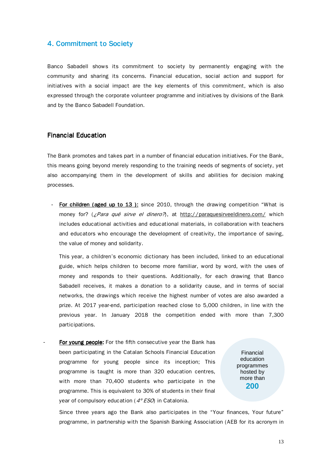## 4. Commitment to Society

Banco Sabadell shows its commitment to society by permanently engaging with the community and sharing its concerns. Financial education, social action and support for initiatives with a social impact are the key elements of this commitment, which is also expressed through the corporate volunteer programme and initiatives by divisions of the Bank and by the Banco Sabadell Foundation.

## **Financial Education**

The Bank promotes and takes part in a number of financial education initiatives. For the Bank, this means going beyond merely responding to the training needs of segments of society, yet also accompanying them in the development of skills and abilities for decision making processes.

For children (aged up to 13): since 2010, through the drawing competition "What is money for? (¿Para qué sirve el dinero?), at http://paraquesirveeldinero.com/ which includes educational activities and educational materials, in collaboration with teachers and educators who encourage the development of creativity, the importance of saving, the value of money and solidarity.

This year, a children's economic dictionary has been included, linked to an educational guide, which helps children to become more familiar, word by word, with the uses of money and responds to their questions. Additionally, for each drawing that Banco Sabadell receives, it makes a donation to a solidarity cause, and in terms of social networks, the drawings which receive the highest number of votes are also awarded a prize. At 2017 year-end, participation reached close to 5,000 children, in line with the previous year. In January 2018 the competition ended with more than 7,300 participations.

For young people: For the fifth consecutive year the Bank has been participating in the Catalan Schools Financial Education programme for young people since its inception; This programme is taught is more than 320 education centres, with more than 70,400 students who participate in the programme. This is equivalent to 30% of students in their final year of compulsory education ( $4^{\circ}$  ESO) in Catalonia.

Financial education programmes hosted by more than **200**

Since three years ago the Bank also participates in the "Your finances, Your future" programme, in partnership with the Spanish Banking Association (AEB for its acronym in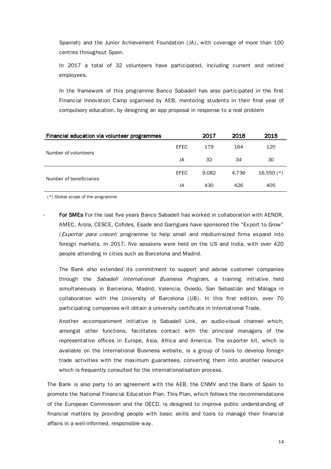Spanish) and the Junior Achievement Foundation (JA), with coverage of more than 100 centres throughout Spain.

In 2017 a total of 32 volunteers have participated, including current and retired employees.

In the framework of this programme Banco Sabadell has also participated in the first Financial Innovation Camp organised by AEB, mentoring students in their final year of compulsory education, by designing an app proposal in response to a real problem

| Financial education via volunteer programmes |      | 2017  | 2016  | 2015         |
|----------------------------------------------|------|-------|-------|--------------|
| Number of volunteers                         | EFEC | 179   | 164   | 120          |
|                                              | JA   | 32    | 34    | 30           |
| Number of beneficiaries                      | EFEC | 9.082 | 4.736 | $16.550$ (*) |
|                                              | JA   | 430   | 426   | 405          |

(\*) Global scope of the programme

For SMEs For the last five years Banco Sabadell has worked in collaboration with AENOR, AMEC, Arola, CESCE, Cofides, Esade and Garrigues have sponsored the "Export to Grow" (*Exportar para crecer*) programme to help small and medium-sized firms expand into foreign markets. In 2017, five sessions were held on the US and India, with over 420 people attending in cities such as Barcelona and Madrid.

The Bank also extended its commitment to support and advise customer companies through the Sabadell International Business Program, a training initiative held simultaneously in Barcelona, Madrid, Valencia, Oviedo, San Sebastián and Málaga in collaboration with the University of Barcelona (UB). In this first edition, over 70 participating companies will obtain a university certificate in International Trade.

Another accompaniment initiative is Sabadell Link, an audio-visual channel which, amongst other functions, facilitates contact with the principal managers of the representative offices in Europe, Asia, Africa and America. The exporter kit, which is available on the International Business website, is a group of tools to develop foreign trade activities with the maximum guarantees, converting them into another resource which is frequently consulted for the internationalisation process.

The Bank is also party to an agreement with the AEB, the CNMV and the Bank of Spain to promote the National Financial Education Plan. This Plan, which follows the recommendations of the European Commission and the OECD, is designed to improve public understanding of financial matters by providing people with basic skills and tools to manage their financial affairs in a well-informed, responsible way.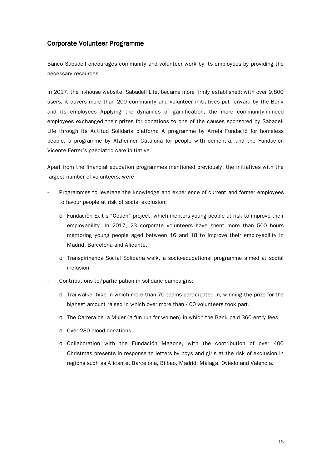## Corporate Volunteer Programme

Banco Sabadell encourages community and volunteer work by its employees by providing the necessary resources.

In 2017, the in-house website, Sabadell Life, became more firmly established; with over 9,800 users, it covers more than 200 community and volunteer initiatives put forward by the Bank and its employees Applying the dynamics of gamification, the more community-minded employees exchanged their prizes for donations to one of the causes sponsored by Sabadell Life through its Actitud Solidaria platform: A programme by Arrels Fundació for homeless people, a programme by Alzheimer Cataluña for people with dementia, and the Fundación Vicente Ferrer's paediatric care initiative.

Apart from the financial education programmes mentioned previously, the initiatives with the largest number of volunteers, were:

- Programmes to leverage the knowledge and experience of current and former employees to favour people at risk of social exclusion:
	- o Fundación Exit's "Coach" project, which mentors young people at risk to improve their employability. In 2017, 23 corporate volunteers have spent more than 500 hours mentoring young people aged between 16 and 18 to improve their employability in Madrid, Barcelona and Alicante.
	- o Transpirinenca Social Solidaria walk, a socio-educational programme aimed at social inclusion.
- Contributions to/participation in solidaric campaigns:
	- o Trailwalker hike in which more than 70 teams participated in, winning the prize for the highest amount raised in which over more than 400 volunteers took part.
	- o The Carrera de la Mujer (a fun run for women) in which the Bank paid 360 entry fees.
	- o Over 280 blood donations.
	- o Collaboration with the Fundación Magone, with the contribution of over 400 Christmas presents in response to letters by boys and girls at the risk of exclusion in regions such as Alicante, Barcelona, Bilbao, Madrid, Malaga, Oviedo and Valencia.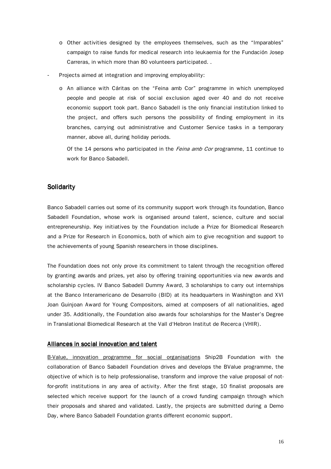- o Other activities designed by the employees themselves, such as the "Imparables" campaign to raise funds for medical research into leukaemia for the Fundación Josep Carreras, in which more than 80 volunteers participated. .
- Projects aimed at integration and improving employability:
	- o An alliance with Cáritas on the "Feina amb Cor" programme in which unemployed people and people at risk of social exclusion aged over 40 and do not receive economic support took part. Banco Sabadell is the only financial institution linked to the project, and offers such persons the possibility of finding employment in its branches, carrying out administrative and Customer Service tasks in a temporary manner, above all, during holiday periods.

Of the 14 persons who participated in the Feina amb Cor programme, 11 continue to work for Banco Sabadell.

## **Solidarity**

Banco Sabadell carries out some of its community support work through its foundation, Banco Sabadell Foundation, whose work is organised around talent, science, culture and social entrepreneurship. Key initiatives by the Foundation include a Prize for Biomedical Research and a Prize for Research in Economics, both of which aim to give recognition and support to the achievements of young Spanish researchers in those disciplines.

The Foundation does not only prove its commitment to talent through the recognition offered by granting awards and prizes, yet also by offering training opportunities via new awards and scholarship cycles. IV Banco Sabadell Dummy Award, 3 scholarships to carry out internships at the Banco Interamericano de Desarrollo (BID) at its headquarters in Washington and XVI Joan Guinjoan Award for Young Compositors, aimed at composers of all nationalities, aged under 35. Additionally, the Foundation also awards four scholarships for the Master's Degree in Translational Biomedical Research at the Vall d'Hebron Institut de Recerca (VHIR).

#### Alliances in social innovation and talent

B-Value, innovation programme for social organisations Ship2B Foundation with the collaboration of Banco Sabadell Foundation drives and develops the BValue programme, the objective of which is to help professionalise, transform and improve the value proposal of notfor-profit institutions in any area of activity. After the first stage, 10 finalist proposals are selected which receive support for the launch of a crowd funding campaign through which their proposals and shared and validated. Lastly, the projects are submitted during a Demo Day, where Banco Sabadell Foundation grants different economic support.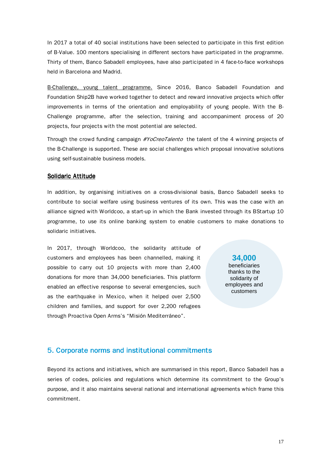In 2017 a total of 40 social institutions have been selected to participate in this first edition of B-Value. 100 mentors specialising in different sectors have participated in the programme. Thirty of them, Banco Sabadell employees, have also participated in 4 face-to-face workshops held in Barcelona and Madrid.

B-Challenge, young talent programme. Since 2016, Banco Sabadell Foundation and Foundation Ship2B have worked together to detect and reward innovative projects which offer improvements in terms of the orientation and employability of young people. With the B-Challenge programme, after the selection, training and accompaniment process of 20 projects, four projects with the most potential are selected.

Through the crowd funding campaign #YoCreoTalento the talent of the 4 winning projects of the B-Challenge is supported. These are social challenges which proposal innovative solutions using self-sustainable business models.

#### Solidaric Attitude

In addition, by organising initiatives on a cross-divisional basis, Banco Sabadell seeks to contribute to social welfare using business ventures of its own. This was the case with an alliance signed with Worldcoo, a start-up in which the Bank invested through its BStartup 10 programme, to use its online banking system to enable customers to make donations to solidaric initiatives.

In 2017, through Worldcoo, the solidarity attitude of customers and employees has been channelled, making it possible to carry out 10 projects with more than 2,400 donations for more than 34,000 beneficiaries. This platform enabled an effective response to several emergencies, such as the earthquake in Mexico, when it helped over 2,500 children and families, and support for over 2,200 refugees through Proactiva Open Arms's "Misión Mediterráneo".

**34,000**  beneficiaries thanks to the solidarity of employees and customers

## 5. Corporate norms and institutional commitments

Beyond its actions and initiatives, which are summarised in this report, Banco Sabadell has a series of codes, policies and regulations which determine its commitment to the Group's purpose, and it also maintains several national and international agreements which frame this commitment.